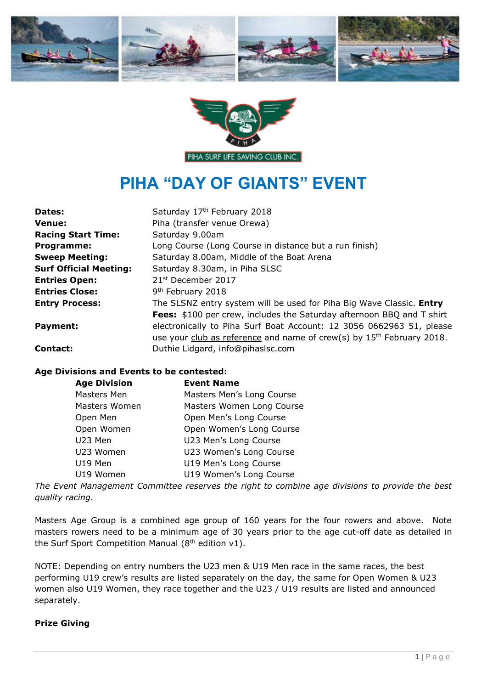



# **PIHA "DAY OF GIANTS" EVENT**

| Dates:                        | Saturday 17th February 2018                                                       |  |
|-------------------------------|-----------------------------------------------------------------------------------|--|
| <b>Venue:</b>                 | Piha (transfer venue Orewa)                                                       |  |
| <b>Racing Start Time:</b>     | Saturday 9.00am                                                                   |  |
| Programme:                    | Long Course (Long Course in distance but a run finish)                            |  |
| <b>Sweep Meeting:</b>         | Saturday 8.00am, Middle of the Boat Arena                                         |  |
| <b>Surf Official Meeting:</b> | Saturday 8.30am, in Piha SLSC                                                     |  |
| <b>Entries Open:</b>          | 21 <sup>st</sup> December 2017                                                    |  |
| <b>Entries Close:</b>         | 9 <sup>th</sup> February 2018                                                     |  |
| <b>Entry Process:</b>         | The SLSNZ entry system will be used for Piha Big Wave Classic. Entry              |  |
|                               | Fees: \$100 per crew, includes the Saturday afternoon BBQ and T shirt             |  |
| Payment:                      | electronically to Piha Surf Boat Account: 12 3056 0662963 51, please              |  |
|                               | use your club as reference and name of crew(s) by 15 <sup>th</sup> February 2018. |  |
| Contact:                      | Duthie Lidgard, info@pihaslsc.com                                                 |  |

### **Age Divisions and Events to be contested:**

| <b>Age Division</b> | <b>Event Name</b>         |
|---------------------|---------------------------|
| Masters Men         | Masters Men's Long Course |
| Masters Women       | Masters Women Long Course |
| Open Men            | Open Men's Long Course    |
| Open Women          | Open Women's Long Course  |
| U23 Men             | U23 Men's Long Course     |
| U23 Women           | U23 Women's Long Course   |
| U19 Men             | U19 Men's Long Course     |
| U19 Women           | U19 Women's Long Course   |

*The Event Management Committee reserves the right to combine age divisions to provide the best quality racing.* 

Masters Age Group is a combined age group of 160 years for the four rowers and above. Note masters rowers need to be a minimum age of 30 years prior to the age cut-off date as detailed in the Surf Sport Competition Manual ( $8<sup>th</sup>$  edition v1).

NOTE: Depending on entry numbers the U23 men & U19 Men race in the same races, the best performing U19 crew's results are listed separately on the day, the same for Open Women & U23 women also U19 Women, they race together and the U23 / U19 results are listed and announced separately.

#### **Prize Giving**